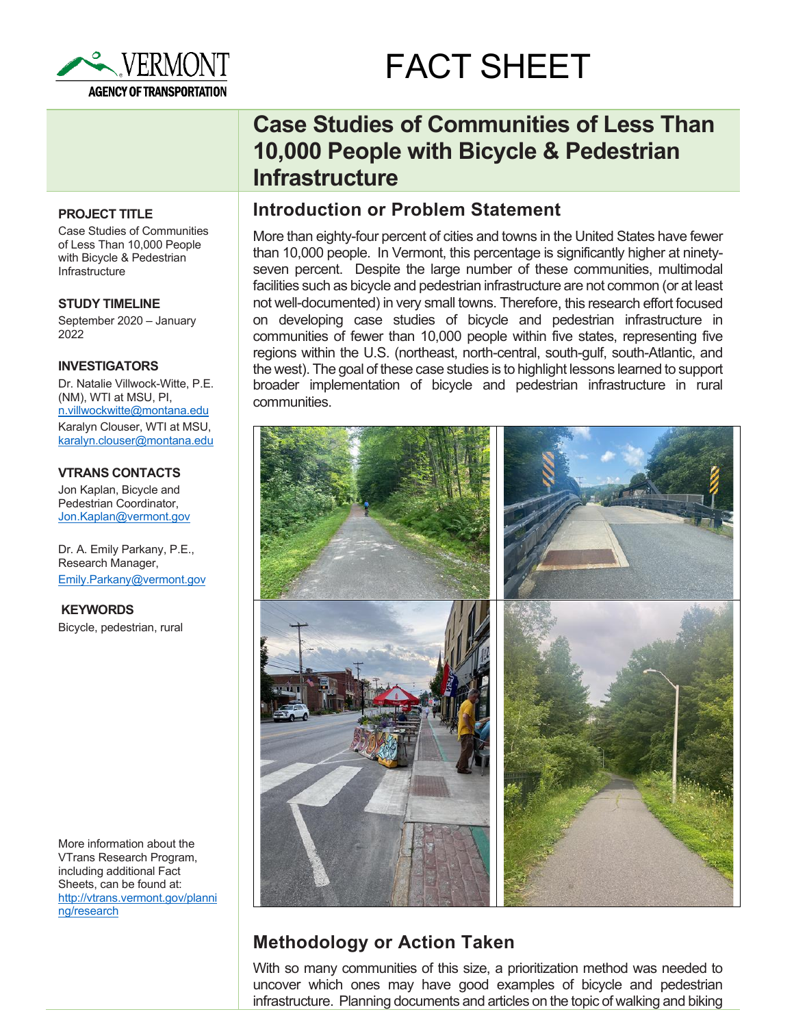

# FACT SHEET

### **PROJECT TITLE**

Case Studies of Communities of Less Than 10,000 People with Bicycle & Pedestrian **Infrastructure** 

**STUDY TIMELINE** September 2020 – January

2022

### **INVESTIGATORS**

Dr. Natalie Villwock-Witte, P.E. (NM), WTI at MSU, PI, [n.villwockwitte@montana.edu](mailto:n.villwockwitte@montana.edu)  Karalyn Clouser, WTI at MSU, [karalyn.clouser@montana.edu](mailto:karalyn.clouser@montana.edu) 

### **VTRANS CONTACTS**

Jon Kaplan, Bicycle and Pedestrian Coordinator, [Jon.Kaplan@vermont.gov](mailto:Jon.Kaplan@vermont.gov) 

Dr. A. Emily Parkany, P.E., Research Manager, [Emily.Parkany@vermont.gov](mailto:Emily.Parkany@vermont.gov)

**KEYWORDS** Bicycle, pedestrian, rural

More information about the VTrans Research Program, including additional Fact Sheets, can be found at: [http://vtrans.vermont.gov/planni](http://vtrans.vermont.gov/planning/research) [ng/research](http://vtrans.vermont.gov/planning/research)

# **Case Studies of Communities of Less Than 10,000 People with Bicycle & Pedestrian Infrastructure**

## **Introduction or Problem Statement**

More than eighty-four percent of cities and towns in the United States have fewer than 10,000 people. In Vermont, this percentage is significantly higher at ninetyseven percent. Despite the large number of these communities, multimodal facilities such as bicycle and pedestrian infrastructure are not common (or at least not well-documented) in very small towns. Therefore, this research effort focused on developing case studies of bicycle and pedestrian infrastructure in communities of fewer than 10,000 people within five states, representing five regions within the U.S. (northeast, north-central, south-gulf, south-Atlantic, and the west). The goal of these case studies is to highlight lessons learned to support broader implementation of bicycle and pedestrian infrastructure in rural communities.



# **Methodology or Action Taken**

With so many communities of this size, a prioritization method was needed to uncover which ones may have good examples of bicycle and pedestrian infrastructure. Planning documents and articles on the topic of walking and biking